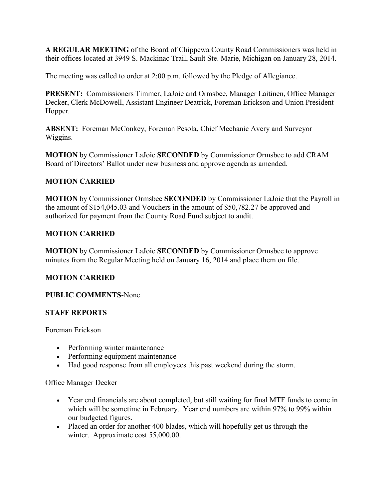**A REGULAR MEETING** of the Board of Chippewa County Road Commissioners was held in their offices located at 3949 S. Mackinac Trail, Sault Ste. Marie, Michigan on January 28, 2014.

The meeting was called to order at 2:00 p.m. followed by the Pledge of Allegiance.

**PRESENT:** Commissioners Timmer, LaJoie and Ormsbee, Manager Laitinen, Office Manager Decker, Clerk McDowell, Assistant Engineer Deatrick, Foreman Erickson and Union President Hopper.

**ABSENT:** Foreman McConkey, Foreman Pesola, Chief Mechanic Avery and Surveyor Wiggins.

**MOTION** by Commissioner LaJoie **SECONDED** by Commissioner Ormsbee to add CRAM Board of Directors' Ballot under new business and approve agenda as amended.

## **MOTION CARRIED**

**MOTION** by Commissioner Ormsbee **SECONDED** by Commissioner LaJoie that the Payroll in the amount of \$154,045.03 and Vouchers in the amount of \$50,782.27 be approved and authorized for payment from the County Road Fund subject to audit.

## **MOTION CARRIED**

**MOTION** by Commissioner LaJoie **SECONDED** by Commissioner Ormsbee to approve minutes from the Regular Meeting held on January 16, 2014 and place them on file.

## **MOTION CARRIED**

**PUBLIC COMMENTS**-None

## **STAFF REPORTS**

Foreman Erickson

- Performing winter maintenance
- Performing equipment maintenance
- Had good response from all employees this past weekend during the storm.

## Office Manager Decker

- Year end financials are about completed, but still waiting for final MTF funds to come in which will be sometime in February. Year end numbers are within 97% to 99% within our budgeted figures.
- Placed an order for another 400 blades, which will hopefully get us through the winter. Approximate cost 55,000.00.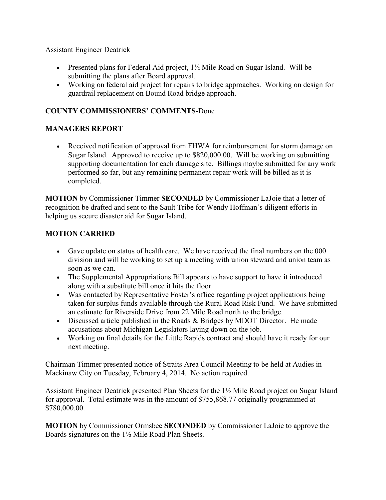Assistant Engineer Deatrick

- Presented plans for Federal Aid project,  $1\frac{1}{2}$  Mile Road on Sugar Island. Will be submitting the plans after Board approval.
- Working on federal aid project for repairs to bridge approaches. Working on design for guardrail replacement on Bound Road bridge approach.

# **COUNTY COMMISSIONERS' COMMENTS-**Done

## **MANAGERS REPORT**

• Received notification of approval from FHWA for reimbursement for storm damage on Sugar Island. Approved to receive up to \$820,000.00. Will be working on submitting supporting documentation for each damage site. Billings maybe submitted for any work performed so far, but any remaining permanent repair work will be billed as it is completed.

**MOTION** by Commissioner Timmer **SECONDED** by Commissioner LaJoie that a letter of recognition be drafted and sent to the Sault Tribe for Wendy Hoffman's diligent efforts in helping us secure disaster aid for Sugar Island.

## **MOTION CARRIED**

- Gave update on status of health care. We have received the final numbers on the 000 division and will be working to set up a meeting with union steward and union team as soon as we can.
- The Supplemental Appropriations Bill appears to have support to have it introduced along with a substitute bill once it hits the floor.
- Was contacted by Representative Foster's office regarding project applications being taken for surplus funds available through the Rural Road Risk Fund. We have submitted an estimate for Riverside Drive from 22 Mile Road north to the bridge.
- Discussed article published in the Roads & Bridges by MDOT Director. He made accusations about Michigan Legislators laying down on the job.
- Working on final details for the Little Rapids contract and should have it ready for our next meeting.

Chairman Timmer presented notice of Straits Area Council Meeting to be held at Audies in Mackinaw City on Tuesday, February 4, 2014. No action required.

Assistant Engineer Deatrick presented Plan Sheets for the 1½ Mile Road project on Sugar Island for approval. Total estimate was in the amount of \$755,868.77 originally programmed at \$780,000.00.

**MOTION** by Commissioner Ormsbee **SECONDED** by Commissioner LaJoie to approve the Boards signatures on the 1½ Mile Road Plan Sheets.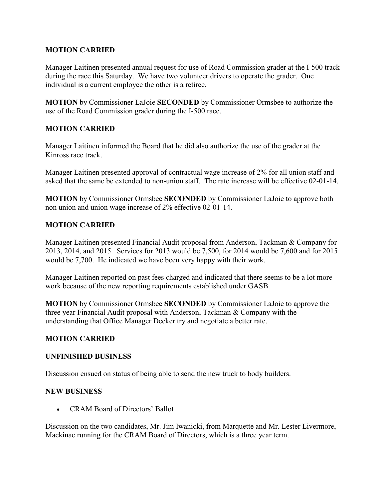## **MOTION CARRIED**

Manager Laitinen presented annual request for use of Road Commission grader at the I-500 track during the race this Saturday. We have two volunteer drivers to operate the grader. One individual is a current employee the other is a retiree.

**MOTION** by Commissioner LaJoie **SECONDED** by Commissioner Ormsbee to authorize the use of the Road Commission grader during the I-500 race.

# **MOTION CARRIED**

Manager Laitinen informed the Board that he did also authorize the use of the grader at the Kinross race track.

Manager Laitinen presented approval of contractual wage increase of 2% for all union staff and asked that the same be extended to non-union staff. The rate increase will be effective 02-01-14.

**MOTION** by Commissioner Ormsbee **SECONDED** by Commissioner LaJoie to approve both non union and union wage increase of 2% effective 02-01-14.

## **MOTION CARRIED**

Manager Laitinen presented Financial Audit proposal from Anderson, Tackman & Company for 2013, 2014, and 2015. Services for 2013 would be 7,500, for 2014 would be 7,600 and for 2015 would be 7,700. He indicated we have been very happy with their work.

Manager Laitinen reported on past fees charged and indicated that there seems to be a lot more work because of the new reporting requirements established under GASB.

**MOTION** by Commissioner Ormsbee **SECONDED** by Commissioner LaJoie to approve the three year Financial Audit proposal with Anderson, Tackman & Company with the understanding that Office Manager Decker try and negotiate a better rate.

## **MOTION CARRIED**

## **UNFINISHED BUSINESS**

Discussion ensued on status of being able to send the new truck to body builders.

#### **NEW BUSINESS**

• CRAM Board of Directors' Ballot

Discussion on the two candidates, Mr. Jim Iwanicki, from Marquette and Mr. Lester Livermore, Mackinac running for the CRAM Board of Directors, which is a three year term.